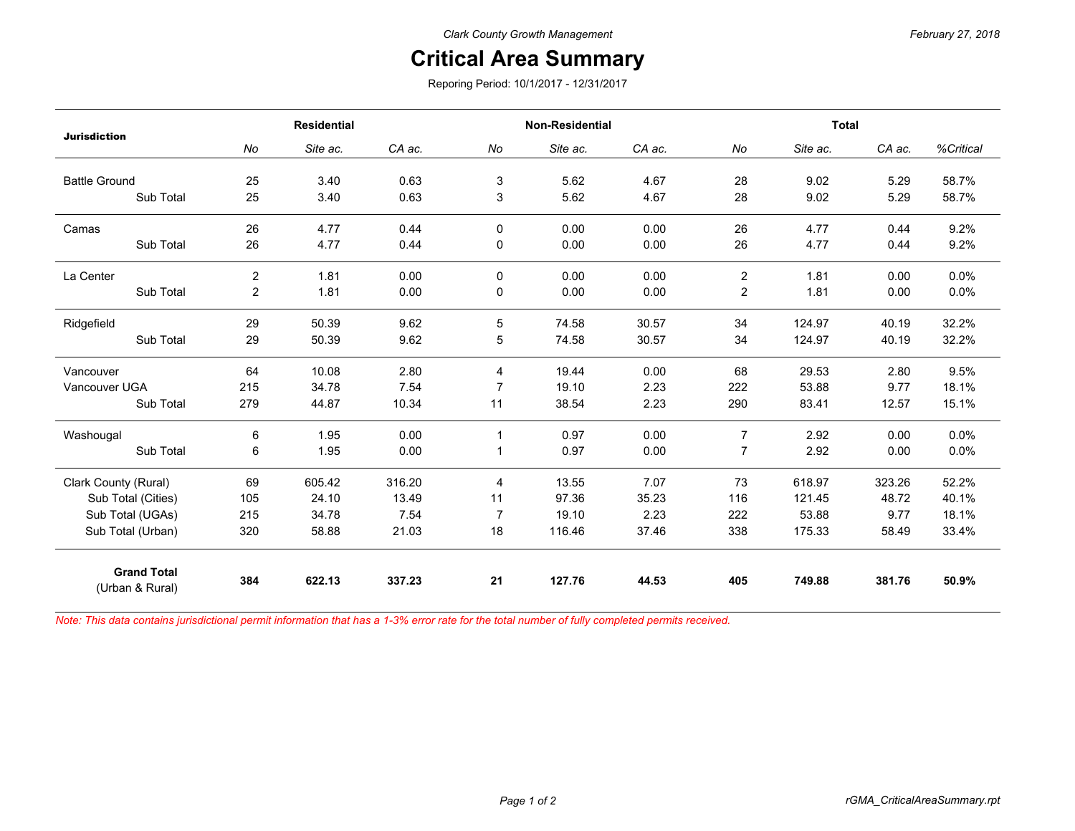## *February 27, 2018*

## **Critical Area Summary**

Reporing Period: 10/1/2017 - 12/31/2017

| <b>Jurisdiction</b>                   | <b>Residential</b> |          |        | Non-Residential |          |        | <b>Total</b>   |          |        |           |
|---------------------------------------|--------------------|----------|--------|-----------------|----------|--------|----------------|----------|--------|-----------|
|                                       | No                 | Site ac. | CA ac. | No              | Site ac. | CA ac. | No             | Site ac. | CA ac. | %Critical |
| <b>Battle Ground</b>                  | 25                 | 3.40     | 0.63   | 3               | 5.62     | 4.67   | 28             | 9.02     | 5.29   | 58.7%     |
| Sub Total                             | 25                 | 3.40     | 0.63   | 3               | 5.62     | 4.67   | 28             | 9.02     | 5.29   | 58.7%     |
| Camas                                 | 26                 | 4.77     | 0.44   | $\Omega$        | 0.00     | 0.00   | 26             | 4.77     | 0.44   | 9.2%      |
| Sub Total                             | 26                 | 4.77     | 0.44   | 0               | 0.00     | 0.00   | 26             | 4.77     | 0.44   | 9.2%      |
| La Center                             | $\overline{2}$     | 1.81     | 0.00   | $\Omega$        | 0.00     | 0.00   | $\overline{2}$ | 1.81     | 0.00   | 0.0%      |
| Sub Total                             | $\overline{c}$     | 1.81     | 0.00   | 0               | 0.00     | 0.00   | $\overline{c}$ | 1.81     | 0.00   | 0.0%      |
| Ridgefield                            | 29                 | 50.39    | 9.62   | 5               | 74.58    | 30.57  | 34             | 124.97   | 40.19  | 32.2%     |
| Sub Total                             | 29                 | 50.39    | 9.62   | 5               | 74.58    | 30.57  | 34             | 124.97   | 40.19  | 32.2%     |
| Vancouver                             | 64                 | 10.08    | 2.80   | 4               | 19.44    | 0.00   | 68             | 29.53    | 2.80   | 9.5%      |
| Vancouver UGA                         | 215                | 34.78    | 7.54   | $\overline{7}$  | 19.10    | 2.23   | 222            | 53.88    | 9.77   | 18.1%     |
| Sub Total                             | 279                | 44.87    | 10.34  | 11              | 38.54    | 2.23   | 290            | 83.41    | 12.57  | 15.1%     |
| Washougal                             | 6                  | 1.95     | 0.00   | $\mathbf{1}$    | 0.97     | 0.00   | $\overline{7}$ | 2.92     | 0.00   | 0.0%      |
| Sub Total                             | 6                  | 1.95     | 0.00   | $\mathbf 1$     | 0.97     | 0.00   | $\overline{7}$ | 2.92     | 0.00   | 0.0%      |
| Clark County (Rural)                  | 69                 | 605.42   | 316.20 | 4               | 13.55    | 7.07   | 73             | 618.97   | 323.26 | 52.2%     |
| Sub Total (Cities)                    | 105                | 24.10    | 13.49  | 11              | 97.36    | 35.23  | 116            | 121.45   | 48.72  | 40.1%     |
| Sub Total (UGAs)                      | 215                | 34.78    | 7.54   | $\overline{7}$  | 19.10    | 2.23   | 222            | 53.88    | 9.77   | 18.1%     |
| Sub Total (Urban)                     | 320                | 58.88    | 21.03  | 18              | 116.46   | 37.46  | 338            | 175.33   | 58.49  | 33.4%     |
| <b>Grand Total</b><br>(Urban & Rural) | 384                | 622.13   | 337.23 | 21              | 127.76   | 44.53  | 405            | 749.88   | 381.76 | 50.9%     |

*Note: This data contains jurisdictional permit information that has a 1-3% error rate for the total number of fully completed permits received.*